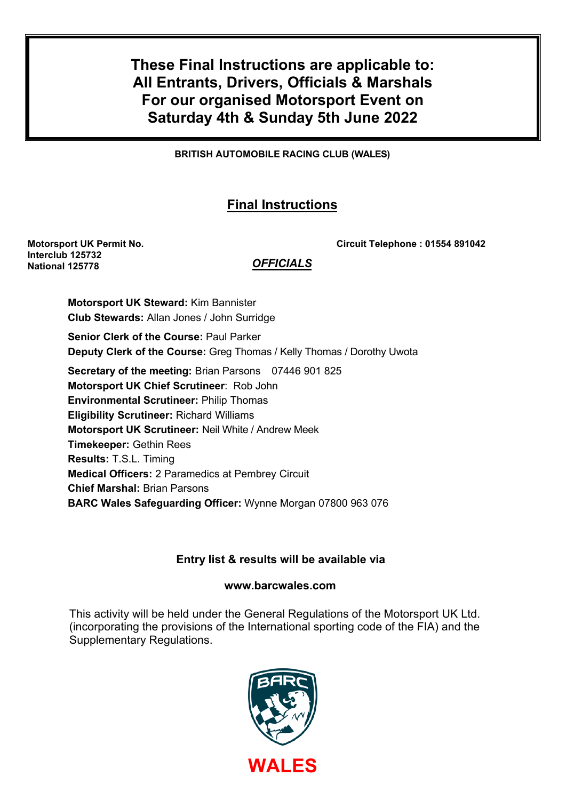**These Final Instructions are applicable to: All Entrants, Drivers, Officials & Marshals For our organised Motorsport Event on Saturday 4th & Sunday 5th June 2022** 

**BRITISH AUTOMOBILE RACING CLUB (WALES)** 

# **Final Instructions**

**Interclub 125732 National 125778**

## **Motorsport UK Permit No. Circuit Telephone : 01554 891042**

## *OFFICIALS*

**Motorsport UK Steward:** Kim Bannister **Club Stewards:** Allan Jones / John Surridge **Senior Clerk of the Course:** Paul Parker

**Deputy Clerk of the Course:** Greg Thomas / Kelly Thomas / Dorothy Uwota

**Secretary of the meeting:** Brian Parsons 07446 901 825 **Motorsport UK Chief Scrutineer**: Rob John **Environmental Scrutineer:** Philip Thomas **Eligibility Scrutineer:** Richard Williams

**Motorsport UK Scrutineer:** Neil White / Andrew Meek

**Timekeeper:** Gethin Rees

**Results:** T.S.L. Timing

**Medical Officers:** 2 Paramedics at Pembrey Circuit

**Chief Marshal:** Brian Parsons

**BARC Wales Safeguarding Officer:** Wynne Morgan 07800 963 076

## **Entry list & results will be available via**

## **www.barcwales.com**

This activity will be held under the General Regulations of the Motorsport UK Ltd. (incorporating the provisions of the International sporting code of the FIA) and the Supplementary Regulations.

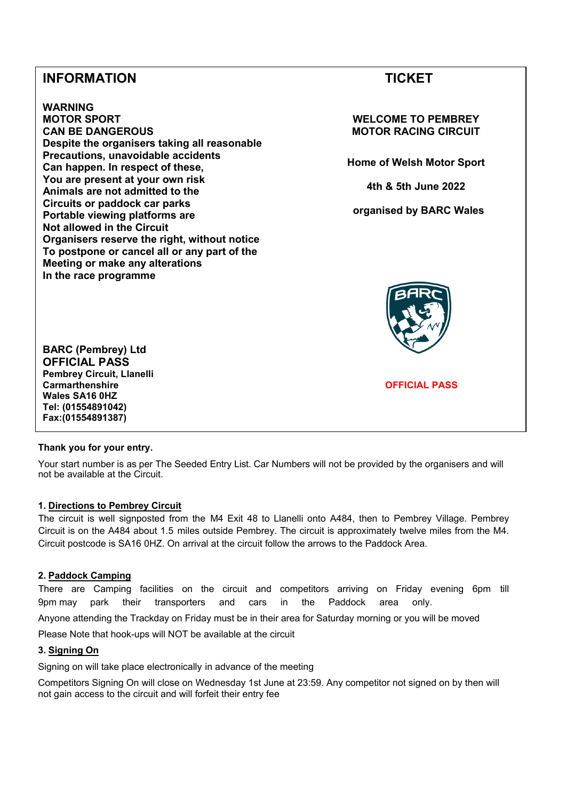## **INFORMATION TICKET**

**WARNING MOTOR SPORT CAN BE DANGEROUS Despite the organisers taking all reasonable Precautions, unavoidable accidents Can happen. In respect of these, You are present at your own risk Animals are not admitted to the Circuits or paddock car parks Portable viewing platforms are Not allowed in the Circuit Organisers reserve the right, without notice To postpone or cancel all or any part of the Meeting or make any alterations In the race programme**

**WELCOME TO PEMBREY MOTOR RACING CIRCUIT** 

**Home of Welsh Motor Sport** 

**4th & 5th June 2022**

 **organised by BARC Wales** 



**BARC (Pembrey) Ltd OFFICIAL PASS Pembrey Circuit, Llanelli Carmarthenshire Wales SA16 0HZ Tel: (01554891042) Fax:(01554891387)**

**OFFICIAL PASS**

## **Thank you for your entry.**

Your start number is as per The Seeded Entry List. Car Numbers will not be provided by the organisers and will not be available at the Circuit.

## **1. Directions to Pembrey Circuit**

The circuit is well signposted from the M4 Exit 48 to Llanelli onto A484, then to Pembrey Village. Pembrey Circuit is on the A484 about 1.5 miles outside Pembrey. The circuit is approximately twelve miles from the M4. Circuit postcode is SA16 0HZ. On arrival at the circuit follow the arrows to the Paddock Area.

## **2. Paddock Camping**

There are Camping facilities on the circuit and competitors arriving on Friday evening 6pm till 9pm may park their transporters and cars in the Paddock area only.

Anyone attending the Trackday on Friday must be in their area for Saturday morning or you will be moved

Please Note that hook-ups will NOT be available at the circuit

## **3. Signing On**

Signing on will take place electronically in advance of the meeting

Competitors Signing On will close on Wednesday 1st June at 23:59. Any competitor not signed on by then will not gain access to the circuit and will forfeit their entry fee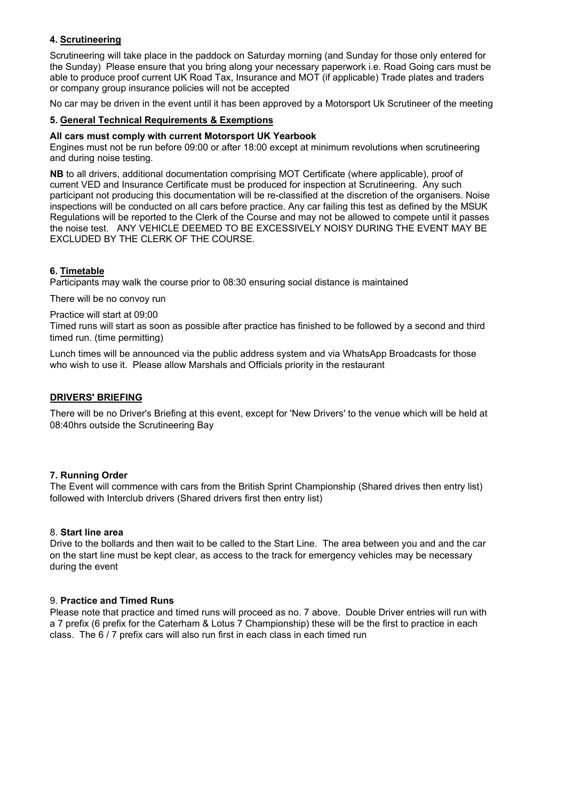## **4. Scrutineering**

Scrutineering will take place in the paddock on Saturday morning (and Sunday for those only entered for the Sunday) Please ensure that you bring along your necessary paperwork i.e. Road Going cars must be able to produce proof current UK Road Tax, Insurance and MOT (if applicable) Trade plates and traders or company group insurance policies will not be accepted

No car may be driven in the event until it has been approved by a Motorsport Uk Scrutineer of the meeting

## **5. General Technical Requirements & Exemptions**

## **All cars must comply with current Motorsport UK Yearbook**

Engines must not be run before 09:00 or after 18:00 except at minimum revolutions when scrutineering and during noise testing.

**NB** to all drivers, additional documentation comprising MOT Certificate (where applicable), proof of current VED and Insurance Certificate must be produced for inspection at Scrutineering. Any such participant not producing this documentation will be re-classified at the discretion of the organisers. Noise inspections will be conducted on all cars before practice. Any car failing this test as defined by the MSUK Regulations will be reported to the Clerk of the Course and may not be allowed to compete until it passes the noise test. ANY VEHICLE DEEMED TO BE EXCESSIVELY NOISY DURING THE EVENT MAY BE EXCLUDED BY THE CLERK OF THE COURSE.

## **6. Timetable**

Participants may walk the course prior to 08:30 ensuring social distance is maintained

There will be no convoy run

Practice will start at 09:00

Timed runs will start as soon as possible after practice has finished to be followed by a second and third timed run. (time permitting)

Lunch times will be announced via the public address system and via WhatsApp Broadcasts for those who wish to use it. Please allow Marshals and Officials priority in the restaurant

## **DRIVERS' BRIEFING**

There will be no Driver's Briefing at this event, except for 'New Drivers' to the venue which will be held at 08:40hrs outside the Scrutineering Bay

## **7. Running Order**

The Event will commence with cars from the British Sprint Championship (Shared drives then entry list) followed with Interclub drivers (Shared drivers first then entry list)

## 8. **Start line area**

Drive to the bollards and then wait to be called to the Start Line. The area between you and and the car on the start line must be kept clear, as access to the track for emergency vehicles may be necessary during the event

## 9. **Practice and Timed Runs**

Please note that practice and timed runs will proceed as no. 7 above. Double Driver entries will run with a 7 prefix (6 prefix for the Caterham & Lotus 7 Championship) these will be the first to practice in each class. The 6 / 7 prefix cars will also run first in each class in each timed run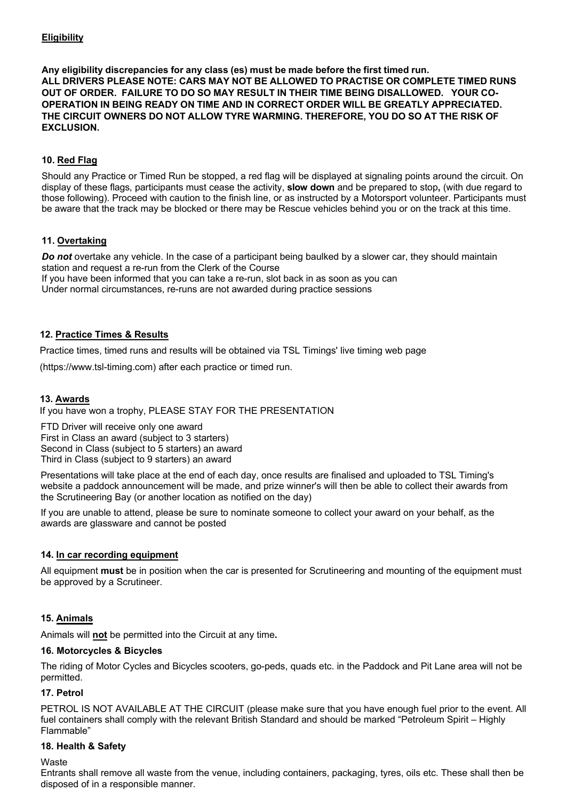## **Eligibility**

**Any eligibility discrepancies for any class (es) must be made before the first timed run. ALL DRIVERS PLEASE NOTE: CARS MAY NOT BE ALLOWED TO PRACTISE OR COMPLETE TIMED RUNS OUT OF ORDER. FAILURE TO DO SO MAY RESULT IN THEIR TIME BEING DISALLOWED. YOUR CO-OPERATION IN BEING READY ON TIME AND IN CORRECT ORDER WILL BE GREATLY APPRECIATED. THE CIRCUIT OWNERS DO NOT ALLOW TYRE WARMING. THEREFORE, YOU DO SO AT THE RISK OF EXCLUSION.** 

## **10. Red Flag**

Should any Practice or Timed Run be stopped, a red flag will be displayed at signaling points around the circuit. On display of these flags, participants must cease the activity, **slow down** and be prepared to stop**,** (with due regard to those following). Proceed with caution to the finish line, or as instructed by a Motorsport volunteer. Participants must be aware that the track may be blocked or there may be Rescue vehicles behind you or on the track at this time.

## **11. Overtaking**

*Do not* overtake any vehicle. In the case of a participant being baulked by a slower car, they should maintain station and request a re-run from the Clerk of the Course

If you have been informed that you can take a re-run, slot back in as soon as you can Under normal circumstances, re-runs are not awarded during practice sessions

## **12. Practice Times & Results**

Practice times, timed runs and results will be obtained via TSL Timings' live timing web page

(https://www.tsl-timing.com) after each practice or timed run.

## **13. Awards**

If you have won a trophy, PLEASE STAY FOR THE PRESENTATION

FTD Driver will receive only one award First in Class an award (subject to 3 starters) Second in Class (subject to 5 starters) an award Third in Class (subject to 9 starters) an award

Presentations will take place at the end of each day, once results are finalised and uploaded to TSL Timing's website a paddock announcement will be made, and prize winner's will then be able to collect their awards from the Scrutineering Bay (or another location as notified on the day)

If you are unable to attend, please be sure to nominate someone to collect your award on your behalf, as the awards are glassware and cannot be posted

## **14. In car recording equipment**

All equipment **must** be in position when the car is presented for Scrutineering and mounting of the equipment must be approved by a Scrutineer.

## **15. Animals**

Animals will **not** be permitted into the Circuit at any time**.**

## **16. Motorcycles & Bicycles**

The riding of Motor Cycles and Bicycles scooters, go-peds, quads etc. in the Paddock and Pit Lane area will not be permitted.

## **17. Petrol**

PETROL IS NOT AVAILABLE AT THE CIRCUIT (please make sure that you have enough fuel prior to the event. All fuel containers shall comply with the relevant British Standard and should be marked "Petroleum Spirit – Highly Flammable"

## **18. Health & Safety**

## **Waste**

Entrants shall remove all waste from the venue, including containers, packaging, tyres, oils etc. These shall then be disposed of in a responsible manner.